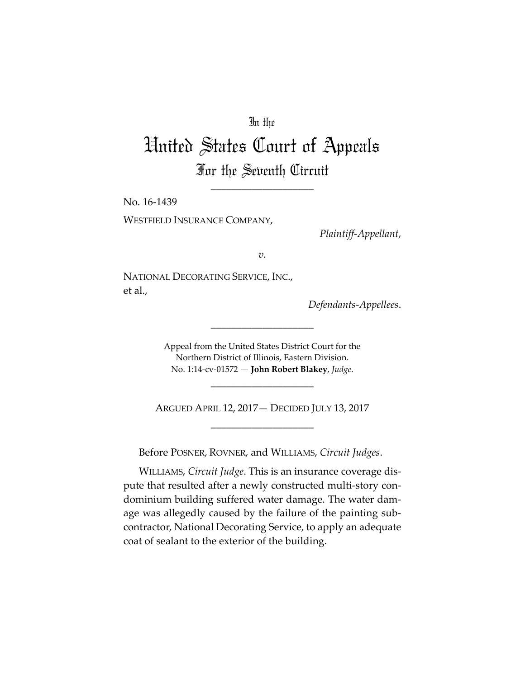## In the

# United States Court of Appeals For the Seventh Circuit

\_\_\_\_\_\_\_\_\_\_\_\_\_\_\_\_\_\_\_\_

No. 16‐1439

WESTFIELD INSURANCE COMPANY,

*Plaintiff‐Appellant*,

*v.*

NATIONAL DECORATING SERVICE, INC., et al.,

*Defendants‐Appellees*.

Appeal from the United States District Court for the Northern District of Illinois, Eastern Division. No. 1:14‐cv‐01572 — **John Robert Blakey**, *Judge*.

\_\_\_\_\_\_\_\_\_\_\_\_\_\_\_\_\_\_\_\_

ARGUED APRIL 12, 2017— DECIDED JULY 13, 2017 \_\_\_\_\_\_\_\_\_\_\_\_\_\_\_\_\_\_\_\_

\_\_\_\_\_\_\_\_\_\_\_\_\_\_\_\_\_\_\_\_

Before POSNER, ROVNER, and WILLIAMS, *Circuit Judges*.

WILLIAMS, *Circuit Judge*. This is an insurance coverage dis‐ pute that resulted after a newly constructed multi-story condominium building suffered water damage. The water dam‐ age was allegedly caused by the failure of the painting sub‐ contractor, National Decorating Service, to apply an adequate coat of sealant to the exterior of the building.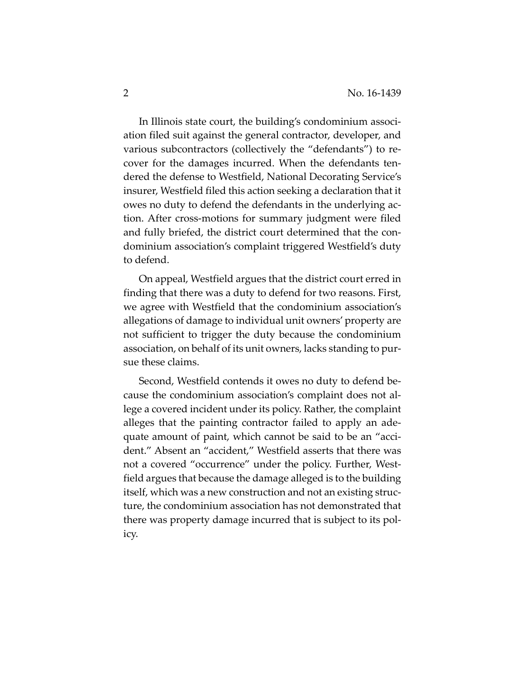In Illinois state court, the building's condominium association filed suit against the general contractor, developer, and various subcontractors (collectively the "defendants") to re‐ cover for the damages incurred. When the defendants ten‐ dered the defense to Westfield, National Decorating Service's insurer, Westfield filed this action seeking a declaration that it owes no duty to defend the defendants in the underlying ac‐ tion. After cross‐motions for summary judgment were filed and fully briefed, the district court determined that the con‐ dominium association's complaint triggered Westfield's duty to defend.

On appeal, Westfield argues that the district court erred in finding that there was a duty to defend for two reasons. First, we agree with Westfield that the condominium association's allegations of damage to individual unit owners' property are not sufficient to trigger the duty because the condominium association, on behalf of its unit owners, lacks standing to pur‐ sue these claims.

Second, Westfield contends it owes no duty to defend be‐ cause the condominium association's complaint does not al‐ lege a covered incident under its policy. Rather, the complaint alleges that the painting contractor failed to apply an ade‐ quate amount of paint, which cannot be said to be an "accident." Absent an "accident," Westfield asserts that there was not a covered "occurrence" under the policy. Further, Westfield argues that because the damage alleged is to the building itself, which was a new construction and not an existing struc‐ ture, the condominium association has not demonstrated that there was property damage incurred that is subject to its pol‐ icy.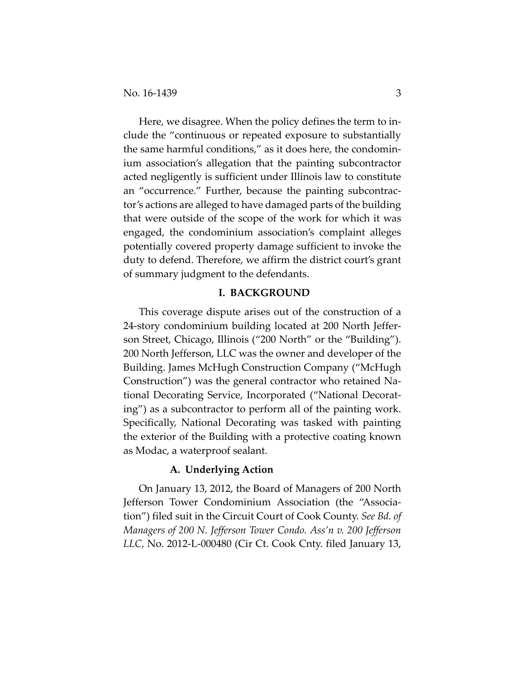Here, we disagree. When the policy defines the term to include the "continuous or repeated exposure to substantially the same harmful conditions," as it does here, the condomin‐ ium association's allegation that the painting subcontractor acted negligently is sufficient under Illinois law to constitute an "occurrence." Further, because the painting subcontractor's actions are alleged to have damaged parts of the building that were outside of the scope of the work for which it was engaged, the condominium association's complaint alleges potentially covered property damage sufficient to invoke the duty to defend. Therefore, we affirm the district court's grant of summary judgment to the defendants.

## **I. BACKGROUND**

This coverage dispute arises out of the construction of a 24‐story condominium building located at 200 North Jeffer‐ son Street, Chicago, Illinois ("200 North" or the "Building"). 200 North Jefferson, LLC was the owner and developer of the Building. James McHugh Construction Company ("McHugh Construction") was the general contractor who retained Na‐ tional Decorating Service, Incorporated ("National Decorat‐ ing") as a subcontractor to perform all of the painting work. Specifically, National Decorating was tasked with painting the exterior of the Building with a protective coating known as Modac, a waterproof sealant.

## **A. Underlying Action**

On January 13, 2012, the Board of Managers of 200 North Jefferson Tower Condominium Association (the "Associa‐ tion") filed suit in the Circuit Court of Cook County. *See Bd. of Managers of 200 N. Jefferson Tower Condo. Ass'n v. 200 Jefferson LLC*, No. 2012‐L‐000480 (Cir Ct. Cook Cnty. filed January 13,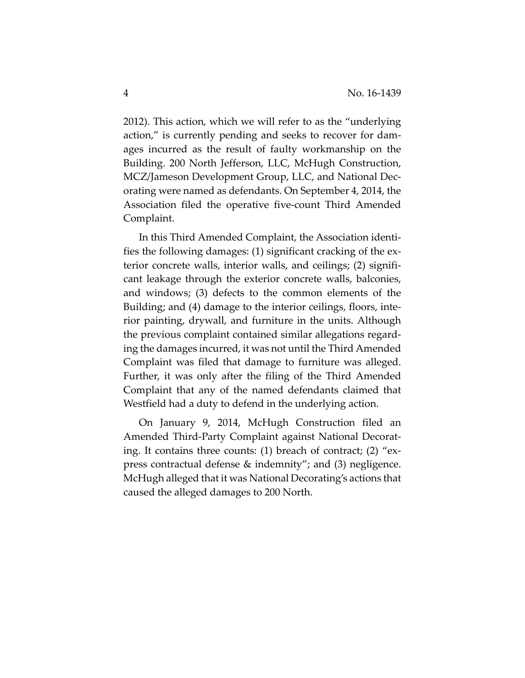2012). This action, which we will refer to as the "underlying action," is currently pending and seeks to recover for dam‐ ages incurred as the result of faulty workmanship on the Building. 200 North Jefferson, LLC, McHugh Construction, MCZ/Jameson Development Group, LLC, and National Dec‐ orating were named as defendants. On September 4, 2014, the Association filed the operative five‐count Third Amended Complaint.

In this Third Amended Complaint, the Association identi‐ fies the following damages: (1) significant cracking of the ex‐ terior concrete walls, interior walls, and ceilings; (2) signifi‐ cant leakage through the exterior concrete walls, balconies, and windows; (3) defects to the common elements of the Building; and (4) damage to the interior ceilings, floors, inte‐ rior painting, drywall, and furniture in the units. Although the previous complaint contained similar allegations regard‐ ing the damages incurred, it was not until the Third Amended Complaint was filed that damage to furniture was alleged. Further, it was only after the filing of the Third Amended Complaint that any of the named defendants claimed that Westfield had a duty to defend in the underlying action.

On January 9, 2014, McHugh Construction filed an Amended Third‐Party Complaint against National Decorat‐ ing. It contains three counts: (1) breach of contract; (2) "ex‐ press contractual defense & indemnity"; and (3) negligence. McHugh alleged that it was National Decorating's actions that caused the alleged damages to 200 North.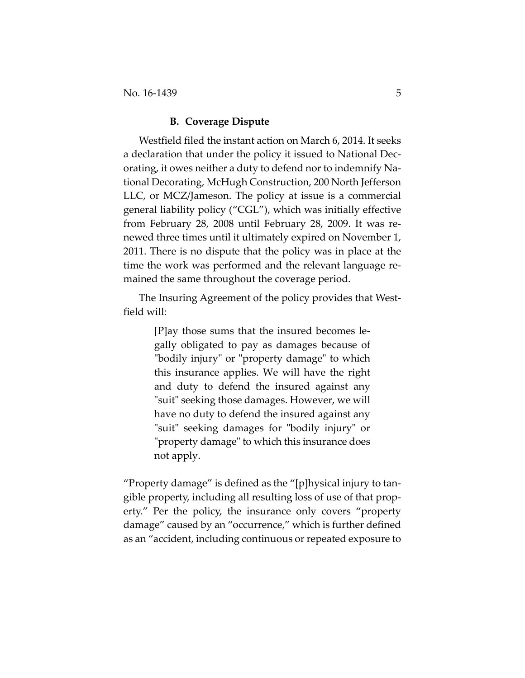## **B. Coverage Dispute**

Westfield filed the instant action on March 6, 2014. It seeks a declaration that under the policy it issued to National Dec‐ orating, it owes neither a duty to defend nor to indemnify Na‐ tional Decorating, McHugh Construction, 200 North Jefferson LLC, or MCZ/Jameson. The policy at issue is a commercial general liability policy ("CGL"), which was initially effective from February 28, 2008 until February 28, 2009. It was re‐ newed three times until it ultimately expired on November 1, 2011. There is no dispute that the policy was in place at the time the work was performed and the relevant language remained the same throughout the coverage period.

The Insuring Agreement of the policy provides that West‐ field will:

> [P]ay those sums that the insured becomes le‐ gally obligated to pay as damages because of "bodily injury" or "property damage" to which this insurance applies. We will have the right and duty to defend the insured against any "suit" seeking those damages. However, we will have no duty to defend the insured against any "suit" seeking damages for "bodily injury" or "property damage" to which this insurance does not apply.

"Property damage" is defined as the "[p]hysical injury to tan‐ gible property, including all resulting loss of use of that prop‐ erty." Per the policy, the insurance only covers "property damage" caused by an "occurrence," which is further defined as an "accident, including continuous or repeated exposure to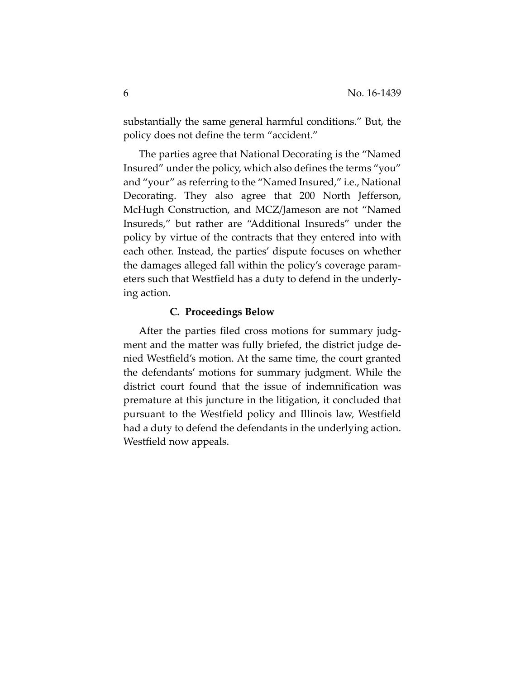substantially the same general harmful conditions." But, the policy does not define the term "accident."

The parties agree that National Decorating is the "Named Insured" under the policy, which also defines the terms "you" and "your" as referring to the "Named Insured," i.e., National Decorating. They also agree that 200 North Jefferson, McHugh Construction, and MCZ/Jameson are not "Named Insureds," but rather are "Additional Insureds" under the policy by virtue of the contracts that they entered into with each other. Instead, the parties' dispute focuses on whether the damages alleged fall within the policy's coverage param‐ eters such that Westfield has a duty to defend in the underly‐ ing action.

## **C. Proceedings Below**

After the parties filed cross motions for summary judgment and the matter was fully briefed, the district judge de‐ nied Westfield's motion. At the same time, the court granted the defendants' motions for summary judgment. While the district court found that the issue of indemnification was premature at this juncture in the litigation, it concluded that pursuant to the Westfield policy and Illinois law, Westfield had a duty to defend the defendants in the underlying action. Westfield now appeals.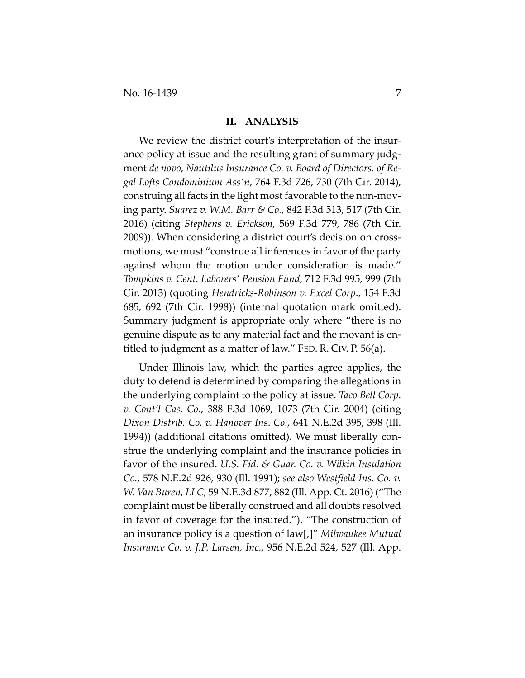#### **II. ANALYSIS**

We review the district court's interpretation of the insurance policy at issue and the resulting grant of summary judgment *de novo*, *Nautilus Insurance Co. v. Board of Directors. of Re‐ gal Lofts Condominium Assʹn*, 764 F.3d 726, 730 (7th Cir. 2014), construing all facts in the light most favorable to the non‐mov‐ ing party. *Suarez v. W.M. Barr & Co.*, 842 F.3d 513, 517 (7th Cir. 2016) (citing *Stephens v. Erickson*, 569 F.3d 779, 786 (7th Cir. 2009)). When considering a district court's decision on cross‐ motions, we must "construe all inferences in favor of the party against whom the motion under consideration is made." *Tompkins v. Cent. Laborers' Pension Fund*, 712 F.3d 995, 999 (7th Cir. 2013) (quoting *Hendricks‐Robinson v. Excel Corp*., 154 F.3d 685, 692 (7th Cir. 1998)) (internal quotation mark omitted). Summary judgment is appropriate only where "there is no genuine dispute as to any material fact and the movant is en‐ titled to judgment as a matter of law." FED. R. CIV. P. 56(a).

Under Illinois law, which the parties agree applies, the duty to defend is determined by comparing the allegations in the underlying complaint to the policy at issue. *Taco Bell Corp. v. Cont'l Cas. Co*., 388 F.3d 1069, 1073 (7th Cir. 2004) (citing *Dixon Distrib. Co. v. Hanover Ins*. *Co.*, 641 N.E.2d 395, 398 (Ill. 1994)) (additional citations omitted). We must liberally construe the underlying complaint and the insurance policies in favor of the insured. *U.S. Fid. & Guar. Co. v. Wilkin Insulation Co.*, 578 N.E.2d 926, 930 (Ill. 1991); *see also Westfield Ins. Co. v. W. Van Buren, LLC*, 59 N.E.3d 877, 882 (Ill. App. Ct. 2016) ("The complaint must be liberally construed and all doubts resolved in favor of coverage for the insured."). "The construction of an insurance policy is a question of law[,]" *Milwaukee Mutual Insurance Co. v. J.P. Larsen, Inc.*, 956 N.E.2d 524, 527 (Ill. App.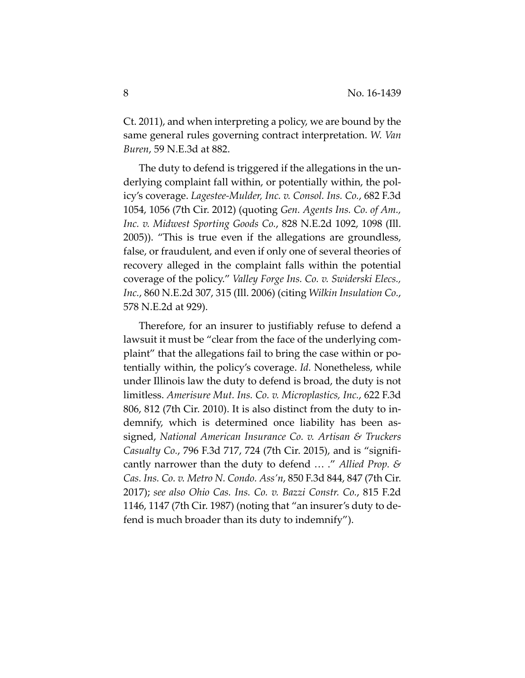Ct. 2011), and when interpreting a policy, we are bound by the same general rules governing contract interpretation. *W. Van Buren*, 59 N.E.3d at 882.

The duty to defend is triggered if the allegations in the un‐ derlying complaint fall within, or potentially within, the pol‐ icy's coverage. *Lagestee‐Mulder, Inc. v. Consol. Ins. Co.*, 682 F.3d 1054, 1056 (7th Cir. 2012) (quoting *Gen. Agents Ins. Co. of Am., Inc. v. Midwest Sporting Goods Co.*, 828 N.E.2d 1092, 1098 (Ill. 2005)). "This is true even if the allegations are groundless, false, or fraudulent, and even if only one of several theories of recovery alleged in the complaint falls within the potential coverage of the policy." *Valley Forge Ins. Co. v. Swiderski Elecs., Inc.*, 860 N.E.2d 307, 315 (Ill. 2006) (citing *Wilkin Insulation Co.*, 578 N.E.2d at 929).

Therefore, for an insurer to justifiably refuse to defend a lawsuit it must be "clear from the face of the underlying com‐ plaint" that the allegations fail to bring the case within or po‐ tentially within, the policy's coverage. *Id.* Nonetheless, while under Illinois law the duty to defend is broad, the duty is not limitless. *Amerisure Mut. Ins. Co. v. Microplastics, Inc.*, 622 F.3d 806, 812 (7th Cir. 2010). It is also distinct from the duty to in‐ demnify, which is determined once liability has been assigned, *National American Insurance Co. v. Artisan & Truckers Casualty Co.*, 796 F.3d 717, 724 (7th Cir. 2015), and is "signifi‐ cantly narrower than the duty to defend … ." *Allied Prop. & Cas. Ins. Co. v. Metro N. Condo. Ass'n*, 850 F.3d 844, 847 (7th Cir. 2017); *see also Ohio Cas. Ins. Co. v. Bazzi Constr. Co.*, 815 F.2d 1146, 1147 (7th Cir. 1987) (noting that "an insurer's duty to de‐ fend is much broader than its duty to indemnify").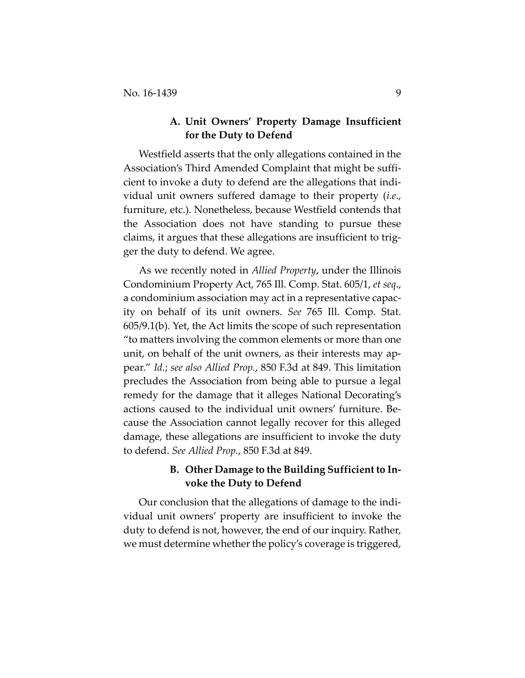# **A. Unit Owners' Property Damage Insufficient for the Duty to Defend**

Westfield asserts that the only allegations contained in the Association's Third Amended Complaint that might be suffi‐ cient to invoke a duty to defend are the allegations that indi‐ vidual unit owners suffered damage to their property (*i.e*., furniture, etc.). Nonetheless, because Westfield contends that the Association does not have standing to pursue these claims, it argues that these allegations are insufficient to trig‐ ger the duty to defend. We agree.

As we recently noted in *Allied Property*, under the Illinois Condominium Property Act, 765 Ill. Comp. Stat. 605/1, *et seq*., a condominium association may act in a representative capac‐ ity on behalf of its unit owners. *See* 765 Ill. Comp. Stat. 605/9.1(b). Yet, the Act limits the scope of such representation "to matters involving the common elements or more than one unit, on behalf of the unit owners, as their interests may appear." *Id.*; *see also Allied Prop.*, 850 F.3d at 849. This limitation precludes the Association from being able to pursue a legal remedy for the damage that it alleges National Decorating's actions caused to the individual unit owners' furniture. Be‐ cause the Association cannot legally recover for this alleged damage, these allegations are insufficient to invoke the duty to defend. *See Allied Prop.*, 850 F.3d at 849.

# **B. Other Damage to the Building Sufficient to In‐ voke the Duty to Defend**

Our conclusion that the allegations of damage to the indi‐ vidual unit owners' property are insufficient to invoke the duty to defend is not, however, the end of our inquiry. Rather, we must determine whether the policy's coverage is triggered,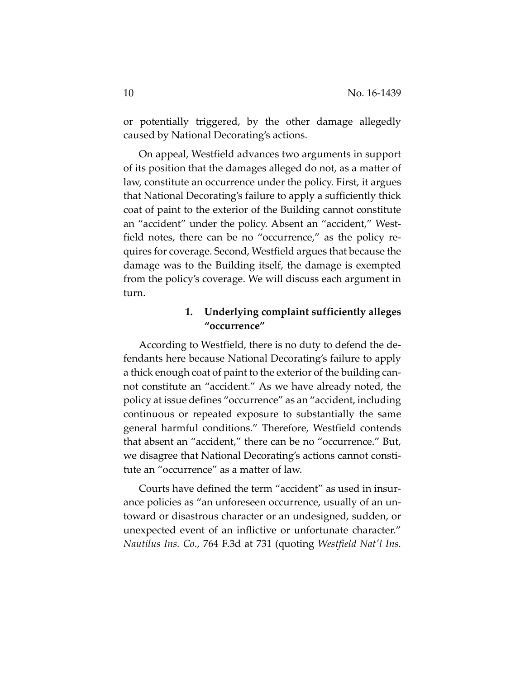or potentially triggered, by the other damage allegedly caused by National Decorating's actions.

On appeal, Westfield advances two arguments in support of its position that the damages alleged do not, as a matter of law, constitute an occurrence under the policy. First, it argues that National Decorating's failure to apply a sufficiently thick coat of paint to the exterior of the Building cannot constitute an "accident" under the policy. Absent an "accident," West‐ field notes, there can be no "occurrence," as the policy re‐ quires for coverage. Second, Westfield argues that because the damage was to the Building itself, the damage is exempted from the policy's coverage. We will discuss each argument in turn.

# **1. Underlying complaint sufficiently alleges "occurrence"**

According to Westfield, there is no duty to defend the de‐ fendants here because National Decorating's failure to apply a thick enough coat of paint to the exterior of the building can‐ not constitute an "accident." As we have already noted, the policy at issue defines "occurrence" as an "accident, including continuous or repeated exposure to substantially the same general harmful conditions." Therefore, Westfield contends that absent an "accident," there can be no "occurrence." But, we disagree that National Decorating's actions cannot consti‐ tute an "occurrence" as a matter of law.

Courts have defined the term "accident" as used in insur‐ ance policies as "an unforeseen occurrence, usually of an un‐ toward or disastrous character or an undesigned, sudden, or unexpected event of an inflictive or unfortunate character." *Nautilus Ins. Co.*, 764 F.3d at 731 (quoting *Westfield Natʹl Ins.*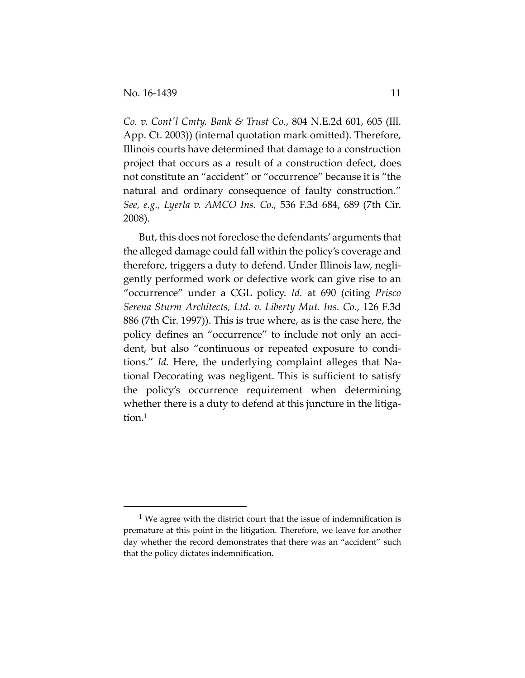*Co. v. Contʹl Cmty. Bank & Trust Co*., 804 N.E.2d 601, 605 (Ill. App. Ct. 2003)) (internal quotation mark omitted). Therefore, Illinois courts have determined that damage to a construction project that occurs as a result of a construction defect, does not constitute an "accident" or "occurrence" because it is "the natural and ordinary consequence of faulty construction." *See, e.g., Lyerla v. AMCO Ins. Co.,* 536 F.3d 684, 689 (7th Cir. 2008).

But, this does not foreclose the defendants' arguments that the alleged damage could fall within the policy's coverage and therefore, triggers a duty to defend. Under Illinois law, negli‐ gently performed work or defective work can give rise to an "occurrence" under a CGL policy. *Id.* at 690 (citing *Prisco Serena Sturm Architects, Ltd. v. Liberty Mut. Ins. Co.*, 126 F.3d 886 (7th Cir. 1997)). This is true where, as is the case here, the policy defines an "occurrence" to include not only an accident, but also "continuous or repeated exposure to condi‐ tions." *Id.* Here, the underlying complaint alleges that National Decorating was negligent. This is sufficient to satisfy the policy's occurrence requirement when determining whether there is a duty to defend at this juncture in the litigation.<sup>1</sup>

<sup>&</sup>lt;sup>1</sup> We agree with the district court that the issue of indemnification is premature at this point in the litigation. Therefore, we leave for another day whether the record demonstrates that there was an "accident" such that the policy dictates indemnification.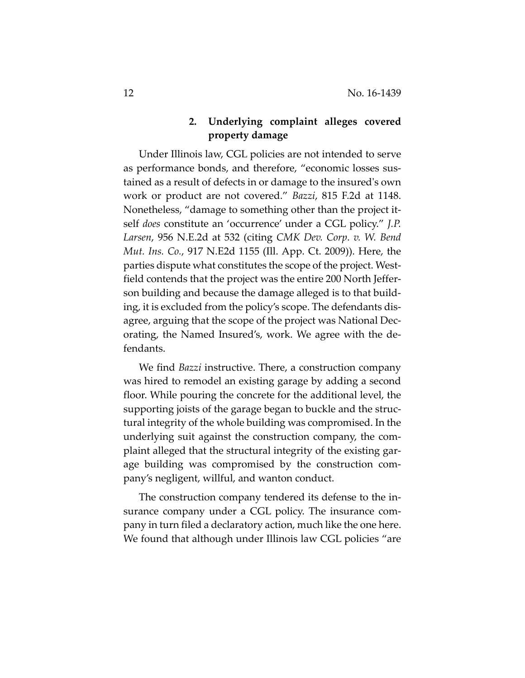# **2. Underlying complaint alleges covered property damage**

Under Illinois law, CGL policies are not intended to serve as performance bonds, and therefore, "economic losses sus‐ tained as a result of defects in or damage to the insuredʹs own work or product are not covered." *Bazzi*, 815 F.2d at 1148. Nonetheless, "damage to something other than the project it‐ self *does* constitute an 'occurrence' under a CGL policy." *J.P. Larsen*, 956 N.E.2d at 532 (citing *CMK Dev. Corp*. *v. W. Bend Mut. Ins. Co.*, 917 N.E2d 1155 (Ill. App. Ct. 2009)). Here, the parties dispute what constitutes the scope of the project. Westfield contends that the project was the entire 200 North Jeffer‐ son building and because the damage alleged is to that build‐ ing, it is excluded from the policy's scope. The defendants dis‐ agree, arguing that the scope of the project was National Dec‐ orating, the Named Insured's, work. We agree with the de‐ fendants.

We find *Bazzi* instructive. There, a construction company was hired to remodel an existing garage by adding a second floor. While pouring the concrete for the additional level, the supporting joists of the garage began to buckle and the struc‐ tural integrity of the whole building was compromised. In the underlying suit against the construction company, the com‐ plaint alleged that the structural integrity of the existing gar‐ age building was compromised by the construction com‐ pany's negligent, willful, and wanton conduct.

The construction company tendered its defense to the in‐ surance company under a CGL policy. The insurance company in turn filed a declaratory action, much like the one here. We found that although under Illinois law CGL policies "are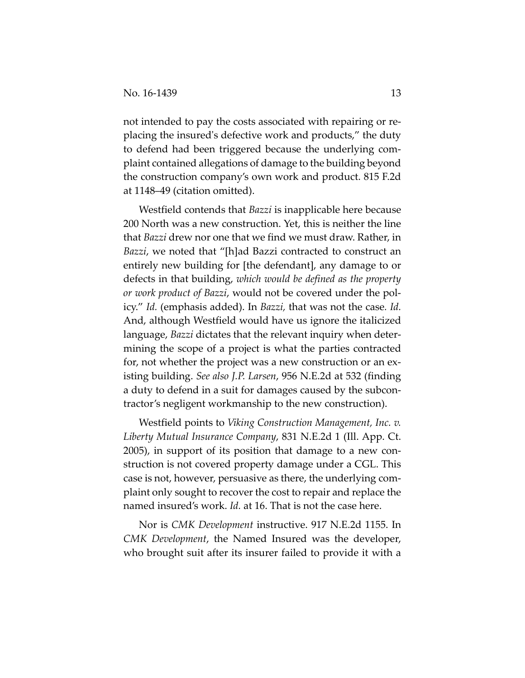not intended to pay the costs associated with repairing or re‐ placing the insuredʹs defective work and products," the duty to defend had been triggered because the underlying com‐ plaint contained allegations of damage to the building beyond the construction company's own work and product. 815 F.2d at 1148–49 (citation omitted).

Westfield contends that *Bazzi* is inapplicable here because 200 North was a new construction. Yet, this is neither the line that *Bazzi* drew nor one that we find we must draw. Rather, in *Bazzi*, we noted that "[h]ad Bazzi contracted to construct an entirely new building for [the defendant], any damage to or defects in that building, *which would be defined as the property or work product of Bazzi*, would not be covered under the pol‐ icy." *Id.* (emphasis added). In *Bazzi,* that was not the case*. Id.* And, although Westfield would have us ignore the italicized language, *Bazzi* dictates that the relevant inquiry when deter‐ mining the scope of a project is what the parties contracted for, not whether the project was a new construction or an existing building. *See also J.P. Larsen*, 956 N.E.2d at 532 (finding a duty to defend in a suit for damages caused by the subcon‐ tractor's negligent workmanship to the new construction).

Westfield points to *Viking Construction Management, Inc. v. Liberty Mutual Insurance Company*, 831 N.E.2d 1 (Ill. App. Ct. 2005), in support of its position that damage to a new con‐ struction is not covered property damage under a CGL. This case is not, however, persuasive as there, the underlying com‐ plaint only sought to recover the cost to repair and replace the named insured's work. *Id.* at 16. That is not the case here.

Nor is *CMK Development* instructive. 917 N.E.2d 1155. In *CMK Development*, the Named Insured was the developer, who brought suit after its insurer failed to provide it with a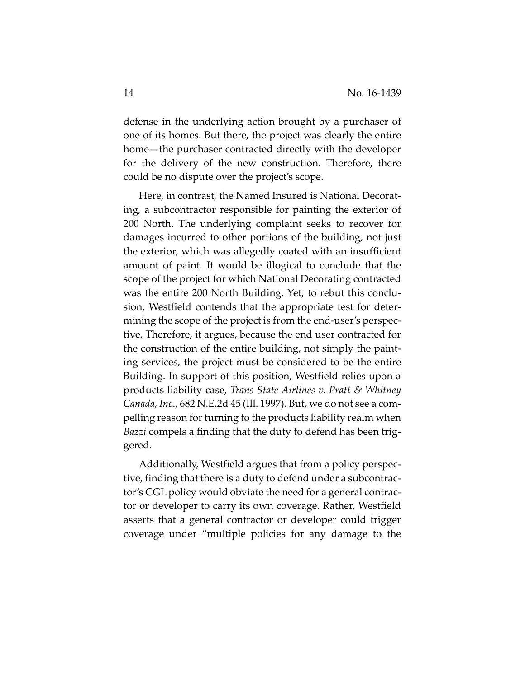defense in the underlying action brought by a purchaser of one of its homes. But there, the project was clearly the entire home—the purchaser contracted directly with the developer for the delivery of the new construction. Therefore, there could be no dispute over the project's scope.

Here, in contrast, the Named Insured is National Decorating, a subcontractor responsible for painting the exterior of 200 North. The underlying complaint seeks to recover for damages incurred to other portions of the building, not just the exterior, which was allegedly coated with an insufficient amount of paint. It would be illogical to conclude that the scope of the project for which National Decorating contracted was the entire 200 North Building. Yet, to rebut this conclu‐ sion, Westfield contends that the appropriate test for deter‐ mining the scope of the project is from the end‐user's perspec‐ tive. Therefore, it argues, because the end user contracted for the construction of the entire building, not simply the paint‐ ing services, the project must be considered to be the entire Building. In support of this position, Westfield relies upon a products liability case, *Trans State Airlines v. Pratt & Whitney Canada, Inc*., 682 N.E.2d 45 (Ill. 1997). But, we do not see a com‐ pelling reason for turning to the products liability realm when *Bazzi* compels a finding that the duty to defend has been trig‐ gered.

Additionally, Westfield argues that from a policy perspec‐ tive, finding that there is a duty to defend under a subcontrac‐ tor's CGL policy would obviate the need for a general contrac‐ tor or developer to carry its own coverage. Rather, Westfield asserts that a general contractor or developer could trigger coverage under "multiple policies for any damage to the